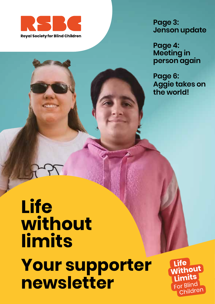

**Page 3: Jenson update**

**Page 4: Meeting in person again**

**Page 6: Aggie takes on the world!**

# **Life without limits Your supporter newsletter**

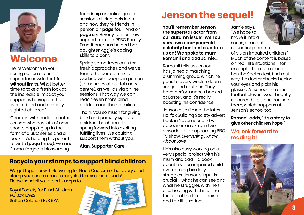

### **Welcome**

Hello! Welcome to your spring edition of our supporter newsletter **Life without limits**. What better time to take a fresh look at the incredible impact your support is having on the lives of blind and partially sighted children?

Check in with budding actor Jenson who has lots of new shoots popping up in the form of a BBC series and a book he's helping his parents to write (**page three**). Eva and Emma forged a blossoming

friendship on online group sessions during lockdown and now they're friends in person on **page four**! And on **page six**, Bryony tells us how support from an RSBC Family Practitioner has helped her daughter Aggie's coping skills to bloom.

Spring sometimes calls for fresh approaches and we've found the perfect mix is working with people in person (sometimes at our fab new centre), as well as via online sessions. That way we can reach even more blind children and their families.

Thank you so much for giving blind and partially sighted children the chance to spring forward into exciting, fulfilling lives! We couldn't support them without you!

**Alan, Supporter Care**

#### **Recycle your stamps to support blind children**

We got together with Recycling for Good Causes so that every used stamp you send us can be recycled to raise more funds! Please send all your used stamps to:

Royal Society for Blind Children PO Box 16992 Sutton Coldfield B73 9YA



### **Jenson the sequel!**

**You'll remember Jenson the superstar actor from our autumn issue? Well our very own nine-year-old celebrity has lots to update us on! We spoke to mum Romanii and dad Jamie…**

Romanii tells us Jenson has joined a marching drumming group, which he goes to every week to learn songs and routines. They have performances booked at Easter, and it's really boosting his confidence.

Jenson also filmed the latest Halifax Building Society advert back in November and will appear as an extra in two episodes of an upcoming BBC TV show, Everything I Know About Love.

He's also busy working on a very special project with his mum and dad – a book about a vision impaired child overcoming his daily struggles. Jenson's input is crucial – what he can see and what he struggles with. He's also helping with things like the size of the text, spacing and the illustrations.

Jamie says, "We hope to make it into a series, aimed at educating parents of vision impaired children." Much of the content is based on real-life situations – for example the main character has the Snellen test, finds out why the doctor checks behind your eyes and picks his glasses. At school, the other football players wear brightly coloured bibs so he can see them, which happens at Jenson's school too.

#### **Romanii adds, "It's a story to give other children hope."**

#### **We look forward to reading it!**



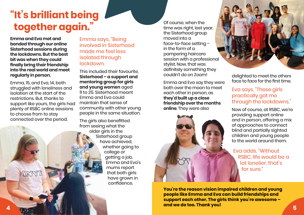## **"It's brilliant being together again."** Of course, when the course when the time was right, last y

**Emma and Eva met and bonded through our online Sisterhood sessions during the lockdowns. But the best bit was when they could finally bring their friendship into the real world and meet regularly in person.**

Emma, 15, and Eva, 14, both struggled with loneliness and isolation at the start of the restrictions. But, thanks to support like yours, the girls had plenty of RSBC online sessions to choose from to stay connected over the period.

LERVIT

Emma says, "Being involved in Sisterhood made me feel less isolated through lockdown.

This included their favourite, **Sisterhood – a support and mentoring group for girls and young women** aged 11 to 25. Sisterhood meant Emma and Eva could maintain that sense of community with other young people in the same situation.

The girls also benefitted from seeing what the older girls in the Sisterhood group have achieved, whether going to college or getting a job. Emma and Eva's mums report that both girls have grown in confidence.

time was right, last year, the Sisterhood group moved into a face-to-face setting – in the form of a pampering haircare session with a professional stylist. Now, that was definitely something they couldn't do on Zoom!

Emma and Eva say they were both over the moon to meet each other in person, as **they'd built up a close friendship over the months online**. They were also





delighted to meet the others face to face for the first time.

#### Eva says, "These girls practically got me through the lockdowns."

Now of course, at RSBC, we're providing support online and in person, offering a mix of approaches to connect blind and partially sighted children and young people to the world around them.

Eva adds, "Without RSBC, life would be a lot lonelier, that's for sure."

**You're the reason vision impaired children and young people like Emma and Eva can build friendships and support each other. The girls think you're awesome – and we do too. Thank you!** 5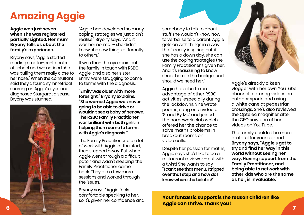# **Amazing Aggie**

**Aggie was just seven when she was registered partially sighted. Her mum Bryony tells us about the family's experience.**

Bryony says, "Aggie started reading smaller-print books at school and we noticed she was pulling them really close to her nose." When the consultant said they'd found symmetrical scarring on Aggie's eyes and diagnosed Stargardt disease, Bryony was stunned.



"Aggie had developed so many coping strategies we just didn't realise," Bryony says. "And it was her normal – she didn't know she saw things differently to others."

It was then the eye clinic put the family in touch with RSBC. Aggie, and also her sister Emily, were struggling to come to terms with the diagnosis.

**"Emily was older with more foresight," Bryony explains. "She worried Aggie was never going to be able to drive or wouldn't see a baby of her own. The RSBC Family Practitioner was brilliant with both girls in helping them come to terms with Aggie's diagnosis."**

The Family Practitioner did a lot of work with Aggie at the start, then stepped away. But when Aggie went through a difficult patch and wasn't sleeping, the Family Practitioner came back. They did a few more sessions and worked through the issues.

Bryony says, "Aggie feels comfortable speaking to her, so it's given her confidence and

somebody to talk to about stuff she wouldn't know how to verbalise to a parent. Aggie gets on with things in a way that's really inspiring but, if she has a down day, she can use the coping strategies the Family Practitioner's given her. And it's reassuring to know she's there in the background should we need her."

Aggie has also taken advantage of other RSBC activities, especially during the lockdowns. She wrote poems, sang on a video of 'Stand By Me' and joined the homework club which offered her the chance to solve maths problems in breakout rooms on video calls.

Despite her passion for maths, Aggie says she'd like to be a restaurant reviewer – but with a twist! She wants to say **"I can't see that menu, I tripped over that step and how do I know where the toilet is?"**



Aggie's already a keen vlogger with her own YouTube channel featuring videos on outdoor sports and using a white cane at pedestrian crossings. She's also reviewed the Optelec magnifier after the CEO saw one of her videos on YouTube.

The family couldn't be more grateful for your support. **Bryony says, "Aggie's got to try and find her way in this world without seeing her way. Having support from the Family Practitioner, and being able to network with other kids who are the same as her, is invaluable."**

**Your fantastic support is the reason children like Aggie can thrive. Thank you!**